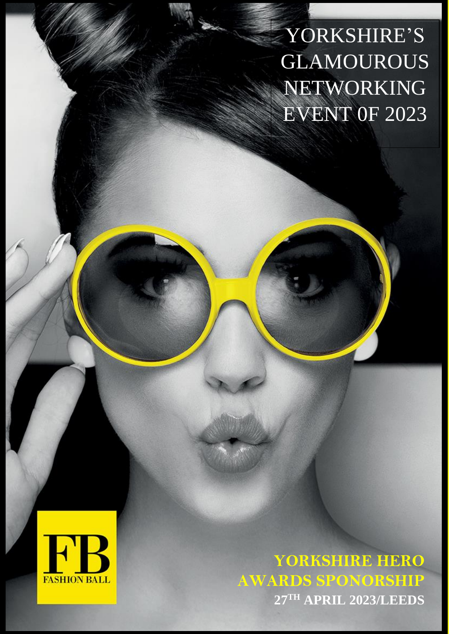YORKSHIRE'S GLAMOUROUS NETWORKING EVENT 0F 2023



**YORKSHIRE HERO AWARDS SPONORSHIP 27TH APRIL 2023/LEEDS**